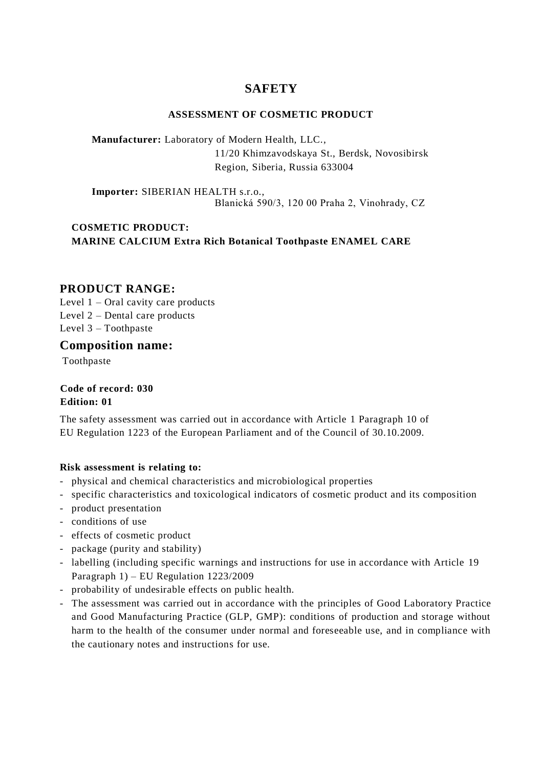# **SAFETY**

### **ASSESSMENT OF COSMETIC PRODUCT**

**Manufacturer:** Laboratory of Modern Health, LLC., 11/20 Khimzavodskaya St., Berdsk, Novosibirsk Region, Siberia, Russia 633004

**Importer:** SIBERIAN HEALTH s.r.o., Blanická 590/3, 120 00 Praha 2, Vinohrady, СZ

## **COSMETIC PRODUCT: MARINE CALCIUM Extra Rich Botanical Toothpaste ENAMEL CARE**

### **PRODUCT RANGE:**

Level  $1 -$ Oral cavity care products Level 2 – Dental care products Level 3 – Toothpaste

**Composition name:**

Toothpaste

**Code of record: 030 Edition: 01**

The safety assessment was carried out in accordance with Article 1 Paragraph 10 of EU Regulation 1223 of the European Parliament and of the Council of 30.10.2009.

### **Risk assessment is relating to:**

- physical and chemical characteristics and microbiological properties
- specific characteristics and toxicological indicators of cosmetic product and its composition
- product presentation
- conditions of use
- effects of cosmetic product
- package (purity and stability)
- labelling (including specific warnings and instructions for use in accordance with Article 19 Paragraph 1) – EU Regulation 1223/2009
- probability of undesirable effects on public health.
- The assessment was carried out in accordance with the principles of Good Laboratory Practice and Good Manufacturing Practice (GLP, GMP): conditions of production and storage without harm to the health of the consumer under normal and foreseeable use, and in compliance with the cautionary notes and instructions for use.